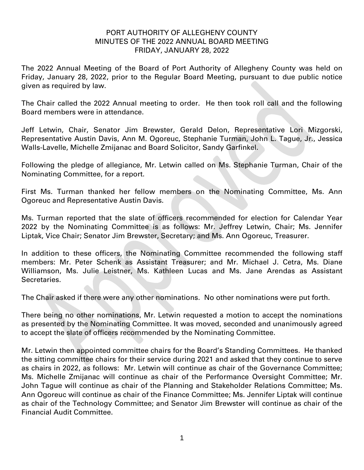## PORT AUTHORITY OF ALLEGHENY COUNTY MINUTES OF THE 2022 ANNUAL BOARD MEETING FRIDAY, JANUARY 28, 2022

The 2022 Annual Meeting of the Board of Port Authority of Allegheny County was held on Friday, January 28, 2022, prior to the Regular Board Meeting, pursuant to due public notice given as required by law.

The Chair called the 2022 Annual meeting to order. He then took roll call and the following Board members were in attendance.

Jeff Letwin, Chair, Senator Jim Brewster, Gerald Delon, Representative Lori Mizgorski, Representative Austin Davis, Ann M. Ogoreuc, Stephanie Turman, John L. Tague, Jr., Jessica Walls-Lavelle, Michelle Zmijanac and Board Solicitor, Sandy Garfinkel.

Following the pledge of allegiance, Mr. Letwin called on Ms. Stephanie Turman, Chair of the Nominating Committee, for a report.

First Ms. Turman thanked her fellow members on the Nominating Committee, Ms. Ann Ogoreuc and Representative Austin Davis.

Ms. Turman reported that the slate of officers recommended for election for Calendar Year 2022 by the Nominating Committee is as follows: Mr. Jeffrey Letwin, Chair; Ms. Jennifer Liptak, Vice Chair; Senator Jim Brewster, Secretary; and Ms. Ann Ogoreuc, Treasurer.

In addition to these officers, the Nominating Committee recommended the following staff members: Mr. Peter Schenk as Assistant Treasurer; and Mr. Michael J. Cetra, Ms. Diane Williamson, Ms. Julie Leistner, Ms. Kathleen Lucas and Ms. Jane Arendas as Assistant Secretaries.

The Chair asked if there were any other nominations. No other nominations were put forth.

There being no other nominations, Mr. Letwin requested a motion to accept the nominations as presented by the Nominating Committee. It was moved, seconded and unanimously agreed to accept the slate of officers recommended by the Nominating Committee.

Mr. Letwin then appointed committee chairs for the Board's Standing Committees. He thanked the sitting committee chairs for their service during 2021 and asked that they continue to serve as chairs in 2022, as follows: Mr. Letwin will continue as chair of the Governance Committee; Ms. Michelle Zmijanac will continue as chair of the Performance Oversight Committee; Mr. John Tague will continue as chair of the Planning and Stakeholder Relations Committee; Ms. Ann Ogoreuc will continue as chair of the Finance Committee; Ms. Jennifer Liptak will continue as chair of the Technology Committee; and Senator Jim Brewster will continue as chair of the Financial Audit Committee.